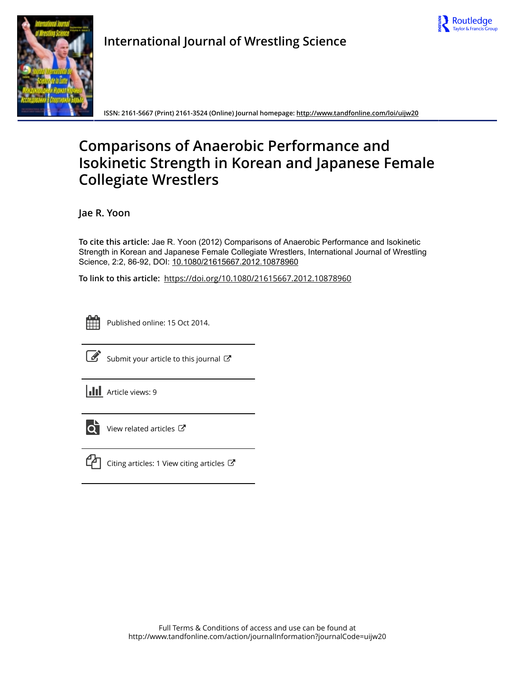



**International Journal of Wrestling Science**

**ISSN: 2161-5667 (Print) 2161-3524 (Online) Journal homepage:<http://www.tandfonline.com/loi/uijw20>**

# **Comparisons of Anaerobic Performance and Isokinetic Strength in Korean and Japanese Female Collegiate Wrestlers**

**Jae R. Yoon**

**To cite this article:** Jae R. Yoon (2012) Comparisons of Anaerobic Performance and Isokinetic Strength in Korean and Japanese Female Collegiate Wrestlers, International Journal of Wrestling Science, 2:2, 86-92, DOI: [10.1080/21615667.2012.10878960](http://www.tandfonline.com/action/showCitFormats?doi=10.1080/21615667.2012.10878960)

**To link to this article:** <https://doi.org/10.1080/21615667.2012.10878960>



Published online: 15 Oct 2014.



 $\overrightarrow{S}$  [Submit your article to this journal](http://www.tandfonline.com/action/authorSubmission?journalCode=uijw20&show=instructions)  $G$ 

**III** Article views: 9



 $\overrightarrow{Q}$  [View related articles](http://www.tandfonline.com/doi/mlt/10.1080/21615667.2012.10878960)  $\overrightarrow{C}$ 



 $\mathbb{C}$  [Citing articles: 1 View citing articles](http://www.tandfonline.com/doi/citedby/10.1080/21615667.2012.10878960#tabModule)  $\mathbb{C}$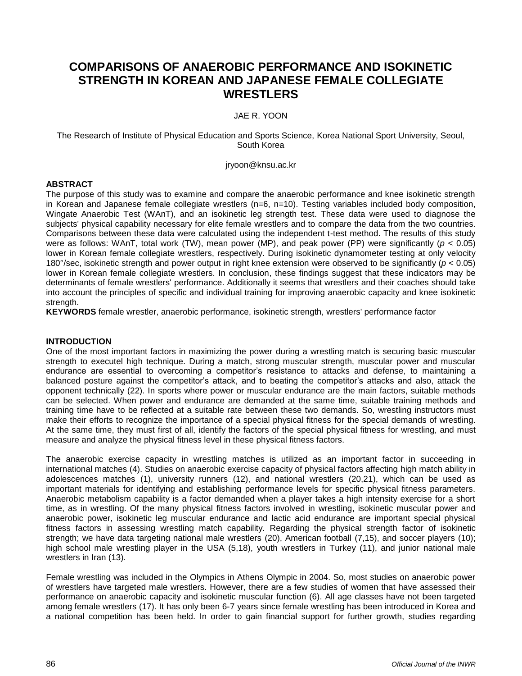# **COMPARISONS OF ANAEROBIC PERFORMANCE AND ISOKINETIC STRENGTH IN KOREAN AND JAPANESE FEMALE COLLEGIATE WRESTLERS**

JAE R. YOON

The Research of Institute of Physical Education and Sports Science, Korea National Sport University, Seoul, South Korea

jryoon@knsu.ac.kr

# **ABSTRACT**

The purpose of this study was to examine and compare the anaerobic performance and knee isokinetic strength in Korean and Japanese female collegiate wrestlers (n=6, n=10). Testing variables included body composition, Wingate Anaerobic Test (WAnT), and an isokinetic leg strength test. These data were used to diagnose the subjects' physical capability necessary for elite female wrestlers and to compare the data from the two countries. Comparisons between these data were calculated using the independent t-test method. The results of this study were as follows: WAnT, total work (TW), mean power (MP), and peak power (PP) were significantly (*p* < 0.05) lower in Korean female collegiate wrestlers, respectively. During isokinetic dynamometer testing at only velocity 180°/sec, isokinetic strength and power output in right knee extension were observed to be significantly (*p* < 0.05) lower in Korean female collegiate wrestlers. In conclusion, these findings suggest that these indicators may be determinants of female wrestlers' performance. Additionally it seems that wrestlers and their coaches should take into account the principles of specific and individual training for improving anaerobic capacity and knee isokinetic strength.

**KEYWORDS** female wrestler, anaerobic performance, isokinetic strength, wrestlers' performance factor

# **INTRODUCTION**

One of the most important factors in maximizing the power during a wrestling match is securing basic muscular strength to executel high technique. During a match, strong muscular strength, muscular power and muscular endurance are essential to overcoming a competitor's resistance to attacks and defense, to maintaining a balanced posture against the competitor's attack, and to beating the competitor's attacks and also, attack the opponent technically (22). In sports where power or muscular endurance are the main factors, suitable methods can be selected. When power and endurance are demanded at the same time, suitable training methods and training time have to be reflected at a suitable rate between these two demands. So, wrestling instructors must make their efforts to recognize the importance of a special physical fitness for the special demands of wrestling. At the same time, they must first of all, identify the factors of the special physical fitness for wrestling, and must measure and analyze the physical fitness level in these physical fitness factors.

The anaerobic exercise capacity in wrestling matches is utilized as an important factor in succeeding in international matches (4). Studies on anaerobic exercise capacity of physical factors affecting high match ability in adolescences matches (1), university runners (12), and national wrestlers (20,21), which can be used as important materials for identifying and establishing performance levels for specific physical fitness parameters. Anaerobic metabolism capability is a factor demanded when a player takes a high intensity exercise for a short time, as in wrestling. Of the many physical fitness factors involved in wrestling, isokinetic muscular power and anaerobic power, isokinetic leg muscular endurance and lactic acid endurance are important special physical fitness factors in assessing wrestling match capability. Regarding the physical strength factor of isokinetic strength; we have data targeting national male wrestlers (20), American football (7,15), and soccer players (10); high school male wrestling player in the USA (5,18), youth wrestlers in Turkey (11), and junior national male wrestlers in Iran (13).

Female wrestling was included in the Olympics in Athens Olympic in 2004. So, most studies on anaerobic power of wrestlers have targeted male wrestlers. However, there are a few studies of women that have assessed their performance on anaerobic capacity and isokinetic muscular function (6). All age classes have not been targeted among female wrestlers (17). It has only been 6-7 years since female wrestling has been introduced in Korea and a national competition has been held. In order to gain financial support for further growth, studies regarding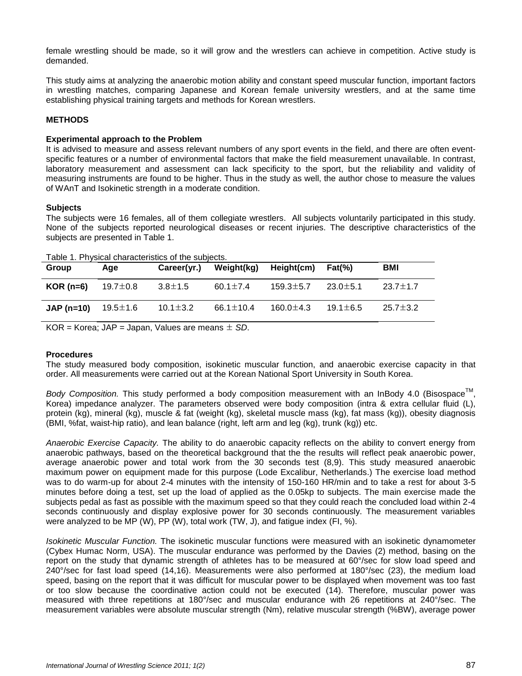female wrestling should be made, so it will grow and the wrestlers can achieve in competition. Active study is demanded.

This study aims at analyzing the anaerobic motion ability and constant speed muscular function, important factors in wrestling matches, comparing Japanese and Korean female university wrestlers, and at the same time establishing physical training targets and methods for Korean wrestlers.

# **METHODS**

## **Experimental approach to the Problem**

It is advised to measure and assess relevant numbers of any sport events in the field, and there are often eventspecific features or a number of environmental factors that make the field measurement unavailable. In contrast, laboratory measurement and assessment can lack specificity to the sport, but the reliability and validity of measuring instruments are found to be higher. Thus in the study as well, the author chose to measure the values of WAnT and Isokinetic strength in a moderate condition.

#### **Subjects**

The subjects were 16 females, all of them collegiate wrestlers. All subjects voluntarily participated in this study. None of the subjects reported neurological diseases or recent injuries. The descriptive characteristics of the subjects are presented in Table 1.

| Group       | Aqe            | Career(yr.)    | Weight(kg)      | Height(cm)      | $Fat(\%)$      | <b>BMI</b>     |
|-------------|----------------|----------------|-----------------|-----------------|----------------|----------------|
| $KOR$ (n=6) | 19.7 $\pm$ 0.8 | $3.8 \pm 1.5$  | 60.1 $\pm$ 7.4  | $159.3 \pm 5.7$ | $23.0 \pm 5.1$ | $23.7 \pm 1.7$ |
| $JAP(n=10)$ | 19.5±1.6       | $10.1 \pm 3.2$ | 66.1 $\pm$ 10.4 | 160.0 $\pm$ 4.3 | $19.1 \pm 6.5$ | $25.7 \pm 3.2$ |

Table 1. Physical characteristics of the subjects.

KOR = Korea; JAP = Japan, Values are means ± *SD*.

# **Procedures**

The study measured body composition, isokinetic muscular function, and anaerobic exercise capacity in that order. All measurements were carried out at the Korean National Sport University in South Korea.

Body Composition. This study performed a body composition measurement with an InBody 4.0 (Bisospace<sup>™</sup>, Korea) impedance analyzer. The parameters observed were body composition (intra & extra cellular fluid (L), protein (kg), mineral (kg), muscle & fat (weight (kg), skeletal muscle mass (kg), fat mass (kg)), obesity diagnosis (BMI, %fat, waist-hip ratio), and lean balance (right, left arm and leg (kg), trunk (kg)) etc.

*Anaerobic Exercise Capacity.* The ability to do anaerobic capacity reflects on the ability to convert energy from anaerobic pathways, based on the theoretical background that the the results will reflect peak anaerobic power, average anaerobic power and total work from the 30 seconds test (8,9). This study measured anaerobic maximum power on equipment made for this purpose (Lode Excalibur, Netherlands.) The exercise load method was to do warm-up for about 2-4 minutes with the intensity of 150-160 HR/min and to take a rest for about 3-5 minutes before doing a test, set up the load of applied as the 0.05kp to subjects. The main exercise made the subjects pedal as fast as possible with the maximum speed so that they could reach the concluded load within 2-4 seconds continuously and display explosive power for 30 seconds continuously. The measurement variables were analyzed to be MP (W), PP (W), total work (TW, J), and fatigue index (FI, %).

*Isokinetic Muscular Function.* The isokinetic muscular functions were measured with an isokinetic dynamometer (Cybex Humac Norm, USA). The muscular endurance was performed by the Davies (2) method, basing on the report on the study that dynamic strength of athletes has to be measured at 60°/sec for slow load speed and 240°/sec for fast load speed (14,16). Measurements were also performed at 180°/sec (23), the medium load speed, basing on the report that it was difficult for muscular power to be displayed when movement was too fast or too slow because the coordinative action could not be executed (14). Therefore, muscular power was measured with three repetitions at 180°/sec and muscular endurance with 26 repetitions at 240°/sec. The measurement variables were absolute muscular strength (Nm), relative muscular strength (%BW), average power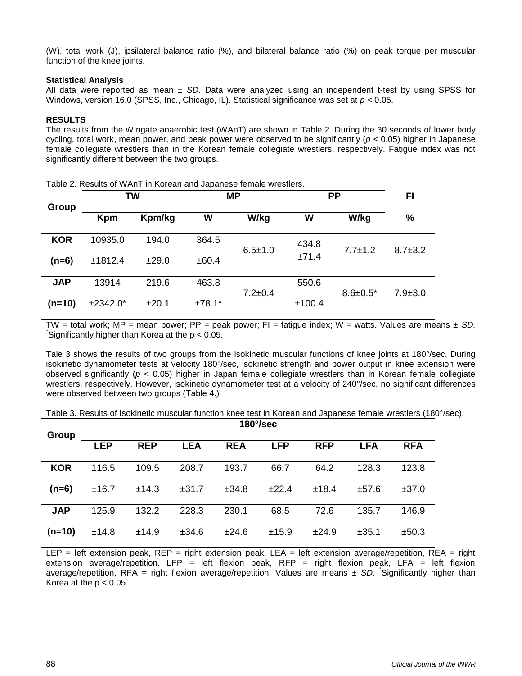(W), total work (J), ipsilateral balance ratio (%), and bilateral balance ratio (%) on peak torque per muscular function of the knee joints.

# **Statistical Analysis**

All data were reported as mean ± *SD*. Data were analyzed using an independent t-test by using SPSS for Windows, version 16.0 (SPSS, Inc., Chicago, IL). Statistical significance was set at *p* < 0.05.

## **RESULTS**

The results from the Wingate anaerobic test (WAnT) are shown in Table 2. During the 30 seconds of lower body cycling, total work, mean power, and peak power were observed to be significantly (*p* < 0.05) higher in Japanese female collegiate wrestlers than in the Korean female collegiate wrestlers, respectively. Fatigue index was not significantly different between the two groups.

| Group      | <b>TW</b>  |        | <b>MP</b> |               | <b>PP</b> |                 | FI            |
|------------|------------|--------|-----------|---------------|-----------|-----------------|---------------|
|            | <b>Kpm</b> | Kpm/kg | W         | W/kg          | W         | W/kg            | %             |
| <b>KOR</b> | 10935.0    | 194.0  | 364.5     | $6.5 \pm 1.0$ | 434.8     | $7.7 \pm 1.2$   | $8.7 \pm 3.2$ |
| $(n=6)$    | ±1812.4    | ±29.0  | ±60.4     |               | ±71.4     |                 |               |
| <b>JAP</b> | 13914      | 219.6  | 463.8     | $7.2 \pm 0.4$ | 550.6     | $8.6 \pm 0.5^*$ | $7.9 \pm 3.0$ |
| $(n=10)$   | $±2342.0*$ | ±20.1  | $±78.1*$  |               | ±100.4    |                 |               |

Table 2. Results of WAnT in Korean and Japanese female wrestlers.

TW = total work; MP = mean power; PP = peak power; FI = fatigue index; W = watts. Values are means ± *SD.*  Significantly higher than Korea at the  $p < 0.05$ .

Tale 3 shows the results of two groups from the isokinetic muscular functions of knee joints at 180°/sec. During isokinetic dynamometer tests at velocity 180°/sec, isokinetic strength and power output in knee extension were observed significantly (*p* < 0.05) higher in Japan female collegiate wrestlers than in Korean female collegiate wrestlers, respectively. However, isokinetic dynamometer test at a velocity of 240°/sec, no significant differences were observed between two groups (Table 4.)

| Table 3. Results of Isokinetic muscular function knee test in Korean and Japanese female wrestlers (180°/sec). |  |
|----------------------------------------------------------------------------------------------------------------|--|
|----------------------------------------------------------------------------------------------------------------|--|

|            | $180^{\circ}/sec$ |            |            |            |            |            |            |            |
|------------|-------------------|------------|------------|------------|------------|------------|------------|------------|
| Group      | <b>LEP</b>        | <b>REP</b> | <b>LEA</b> | <b>REA</b> | <b>LFP</b> | <b>RFP</b> | <b>LFA</b> | <b>RFA</b> |
| <b>KOR</b> | 116.5             | 109.5      | 208.7      | 193.7      | 66.7       | 64.2       | 128.3      | 123.8      |
| $(n=6)$    | ±16.7             | ±14.3      | ±31.7      | ±34.8      | ±22.4      | ±18.4      | ±57.6      | ±37.0      |
| <b>JAP</b> | 125.9             | 132.2      | 228.3      | 230.1      | 68.5       | 72.6       | 135.7      | 146.9      |
| $(n=10)$   | ±14.8             | ±14.9      | ±34.6      | ±24.6      | ±15.9      | ±24.9      | ±35.1      | ±50.3      |

LEP = left extension peak, REP = right extension peak, LEA = left extension average/repetition, REA = right extension average/repetition. LFP = left flexion peak, RFP = right flexion peak, LFA = left flexion average/repetition, RFA = right flexion average/repetition. Values are means ± SD. Significantly higher than Korea at the  $p < 0.05$ .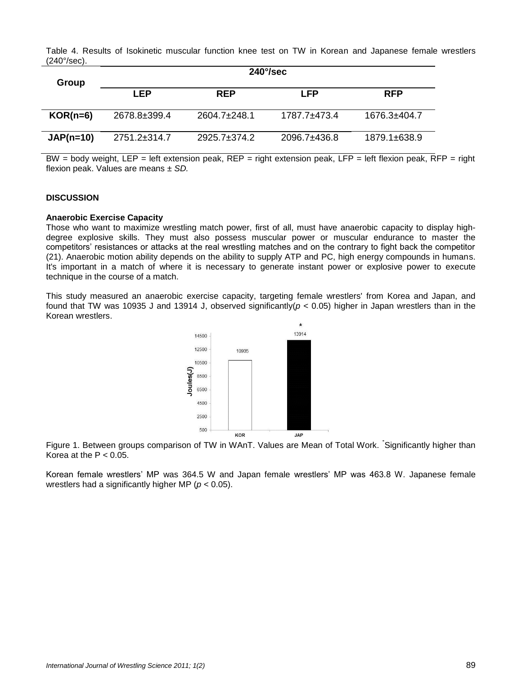Table 4. Results of Isokinetic muscular function knee test on TW in Korean and Japanese female wrestlers (240°/sec).

| Group       | $240^{\circ}/sec$  |                  |                  |                    |  |  |  |  |
|-------------|--------------------|------------------|------------------|--------------------|--|--|--|--|
|             | LEP                | <b>REP</b>       | LFP              | <b>RFP</b>         |  |  |  |  |
| $KOR(n=6)$  | 2678.8±399.4       | $2604.7 + 248.1$ | 1787.7+473.4     | 1676.3±404.7       |  |  |  |  |
| $JAP(n=10)$ | $2751.2 \pm 314.7$ | $2925.7 + 374.2$ | $2096.7 + 436.8$ | $1879.1 \pm 638.9$ |  |  |  |  |

BW = body weight, LEP = left extension peak, REP = right extension peak, LFP = left flexion peak, RFP = right flexion peak. Values are means ± *SD.*

#### **DISCUSSION**

#### **Anaerobic Exercise Capacity**

Those who want to maximize wrestling match power, first of all, must have anaerobic capacity to display highdegree explosive skills. They must also possess muscular power or muscular endurance to master the competitors' resistances or attacks at the real wrestling matches and on the contrary to fight back the competitor (21). Anaerobic motion ability depends on the ability to supply ATP and PC, high energy compounds in humans. It's important in a match of where it is necessary to generate instant power or explosive power to execute technique in the course of a match.

This study measured an anaerobic exercise capacity, targeting female wrestlers' from Korea and Japan, and found that TW was 10935 J and 13914 J, observed significantly(*p* < 0.05) higher in Japan wrestlers than in the Korean wrestlers.



Figure 1. Between groups comparison of TW in WAnT. Values are Mean of Total Work. Significantly higher than Korea at the  $P < 0.05$ .

Korean female wrestlers' MP was 364.5 W and Japan female wrestlers' MP was 463.8 W. Japanese female wrestlers had a significantly higher MP (*p* < 0.05).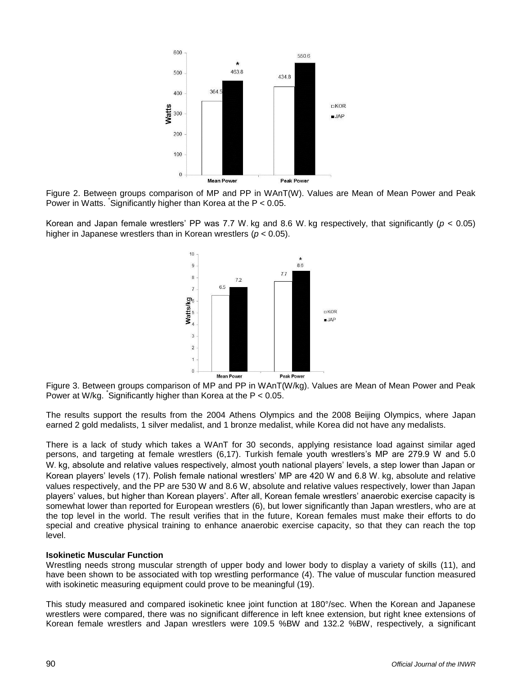

Figure 2. Between groups comparison of MP and PP in WAnT(W). Values are Mean of Mean Power and Peak Power in Watts. \* Significantly higher than Korea at the P < 0.05.

Korean and Japan female wrestlers' PP was 7.7 W․kg and 8.6 W․kg respectively, that significantly (*p* < 0.05) higher in Japanese wrestlers than in Korean wrestlers (*p* < 0.05).



Figure 3. Between groups comparison of MP and PP in WAnT(W/kg). Values are Mean of Mean Power and Peak Power at W/kg. \* Significantly higher than Korea at the P < 0.05.

The results support the results from the 2004 Athens Olympics and the 2008 Beijing Olympics, where Japan earned 2 gold medalists, 1 silver medalist, and 1 bronze medalist, while Korea did not have any medalists.

There is a lack of study which takes a WAnT for 30 seconds, applying resistance load against similar aged persons, and targeting at female wrestlers (6,17). Turkish female youth wrestlers's MP are 279.9 W and 5.0 W. kg, absolute and relative values respectively, almost youth national players' levels, a step lower than Japan or Korean players' levels (17). Polish female national wrestlers' MP are 420 W and 6.8 W․kg, absolute and relative values respectively, and the PP are 530 W and 8.6 W, absolute and relative values respectively, lower than Japan players' values, but higher than Korean players'. After all, Korean female wrestlers' anaerobic exercise capacity is somewhat lower than reported for European wrestlers (6), but lower significantly than Japan wrestlers, who are at the top level in the world. The result verifies that in the future, Korean females must make their efforts to do special and creative physical training to enhance anaerobic exercise capacity, so that they can reach the top level.

# **Isokinetic Muscular Function**

Wrestling needs strong muscular strength of upper body and lower body to display a variety of skills (11), and have been shown to be associated with top wrestling performance (4). The value of muscular function measured with isokinetic measuring equipment could prove to be meaningful (19).

This study measured and compared isokinetic knee joint function at 180°/sec. When the Korean and Japanese wrestlers were compared, there was no significant difference in left knee extension, but right knee extensions of Korean female wrestlers and Japan wrestlers were 109.5 %BW and 132.2 %BW, respectively, a significant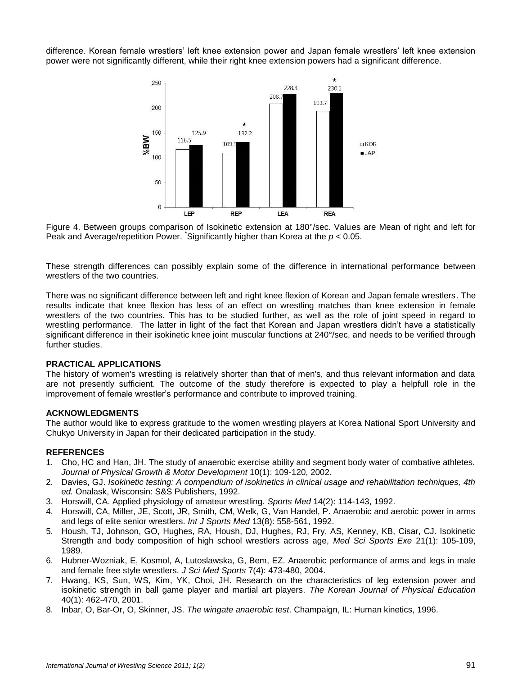difference. Korean female wrestlers' left knee extension power and Japan female wrestlers' left knee extension power were not significantly different, while their right knee extension powers had a significant difference.



Figure 4. Between groups comparison of Isokinetic extension at 180°/sec. Values are Mean of right and left for Peak and Average/repetition Power. Significantly higher than Korea at the  $p < 0.05$ .

These strength differences can possibly explain some of the difference in international performance between wrestlers of the two countries.

There was no significant difference between left and right knee flexion of Korean and Japan female wrestlers. The results indicate that knee flexion has less of an effect on wrestling matches than knee extension in female wrestlers of the two countries. This has to be studied further, as well as the role of joint speed in regard to wrestling performance. The latter in light of the fact that Korean and Japan wrestlers didn't have a statistically significant difference in their isokinetic knee joint muscular functions at 240°/sec, and needs to be verified through further studies.

# **PRACTICAL APPLICATIONS**

The history of women's wrestling is relatively shorter than that of men's, and thus relevant information and data are not presently sufficient. The outcome of the study therefore is expected to play a helpfull role in the improvement of female wrestler's performance and contribute to improved training.

#### **ACKNOWLEDGMENTS**

The author would like to express gratitude to the women wrestling players at Korea National Sport University and Chukyo University in Japan for their dedicated participation in the study.

#### **REFERENCES**

- 1. Cho, HC and Han, JH. The study of anaerobic exercise ability and segment body water of combative athletes. *Journal of Physical Growth & Motor Development* 10(1): 109-120, 2002.
- 2. Davies, GJ. *Isokinetic testing: A compendium of isokinetics in clinical usage and rehabilitation techniques, 4th ed.* Onalask, Wisconsin: S&S Publishers, 1992.
- 3. Horswill, CA. Applied physiology of amateur wrestling. *Sports Med* 14(2): 114-143, 1992.
- 4. Horswill, CA, Miller, JE, Scott, JR, Smith, CM, Welk, G, Van Handel, P. Anaerobic and aerobic power in arms and legs of elite senior wrestlers. *Int J Sports Med* 13(8): 558-561, 1992.
- 5. Housh, TJ, Johnson, GO, Hughes, RA, Housh, DJ, Hughes, RJ, Fry, AS, Kenney, KB, Cisar, CJ. Isokinetic Strength and body composition of high school wrestlers across age, *Med Sci Sports Exe* 21(1): 105-109, 1989.
- 6. Hubner-Wozniak, E, Kosmol, A, Lutoslawska, G, Bem, EZ. Anaerobic performance of arms and legs in male and female free style wrestlers. *J Sci Med Sports* 7(4): 473-480, 2004.
- 7. Hwang, KS, Sun, WS, Kim, YK, Choi, JH. Research on the characteristics of leg extension power and isokinetic strength in ball game player and martial art players. *The Korean Journal of Physical Education* 40(1): 462-470, 2001.
- 8. Inbar, O, Bar-Or, O, Skinner, JS. *The wingate anaerobic test*. Champaign, IL: Human kinetics, 1996.